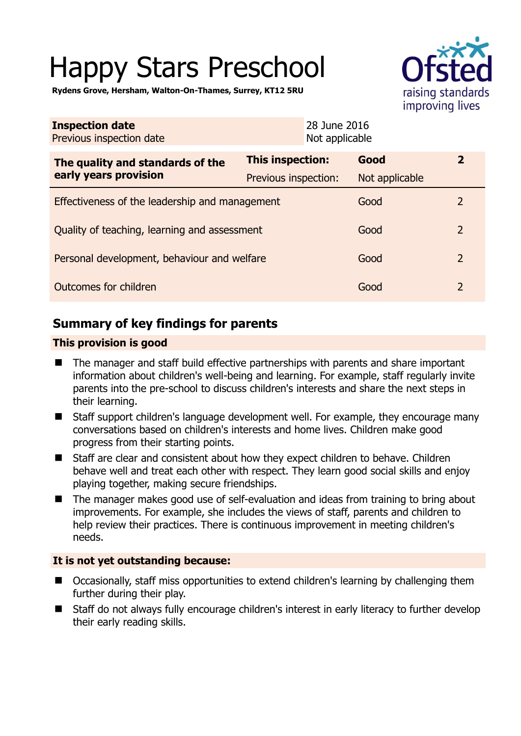# Happy Stars Preschool



**Rydens Grove, Hersham, Walton-On-Thames, Surrey, KT12 5RU** 

| <b>Inspection date</b><br>Previous inspection date        |                      | 28 June 2016<br>Not applicable |                |                         |
|-----------------------------------------------------------|----------------------|--------------------------------|----------------|-------------------------|
| The quality and standards of the<br>early years provision | This inspection:     |                                | Good           | $\overline{\mathbf{2}}$ |
|                                                           | Previous inspection: |                                | Not applicable |                         |
| Effectiveness of the leadership and management            |                      |                                | Good           | 2                       |
| Quality of teaching, learning and assessment              |                      |                                | Good           | $\overline{2}$          |
| Personal development, behaviour and welfare               |                      |                                | Good           | $\overline{2}$          |
| Outcomes for children                                     |                      |                                | Good           | $\overline{2}$          |

# **Summary of key findings for parents**

## **This provision is good**

- The manager and staff build effective partnerships with parents and share important information about children's well-being and learning. For example, staff regularly invite parents into the pre-school to discuss children's interests and share the next steps in their learning.
- Staff support children's language development well. For example, they encourage many conversations based on children's interests and home lives. Children make good progress from their starting points.
- Staff are clear and consistent about how they expect children to behave. Children behave well and treat each other with respect. They learn good social skills and enjoy playing together, making secure friendships.
- The manager makes good use of self-evaluation and ideas from training to bring about improvements. For example, she includes the views of staff, parents and children to help review their practices. There is continuous improvement in meeting children's needs.

## **It is not yet outstanding because:**

- Occasionally, staff miss opportunities to extend children's learning by challenging them further during their play.
- Staff do not always fully encourage children's interest in early literacy to further develop their early reading skills.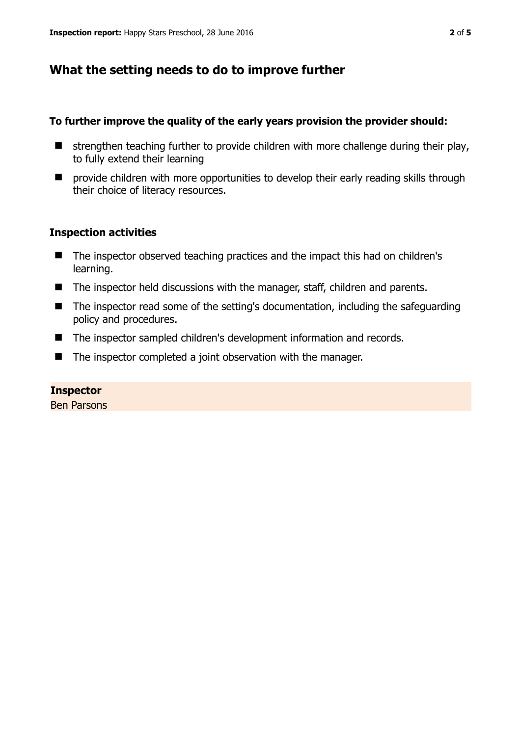## **What the setting needs to do to improve further**

#### **To further improve the quality of the early years provision the provider should:**

- $\blacksquare$  strengthen teaching further to provide children with more challenge during their play, to fully extend their learning
- **E** provide children with more opportunities to develop their early reading skills through their choice of literacy resources.

#### **Inspection activities**

- The inspector observed teaching practices and the impact this had on children's learning.
- The inspector held discussions with the manager, staff, children and parents.
- The inspector read some of the setting's documentation, including the safeguarding policy and procedures.
- The inspector sampled children's development information and records.
- The inspector completed a joint observation with the manager.

#### **Inspector**

Ben Parsons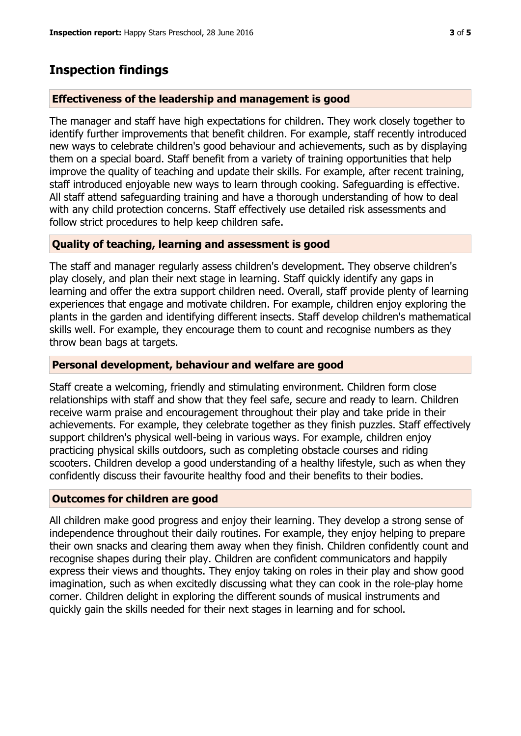## **Inspection findings**

#### **Effectiveness of the leadership and management is good**

The manager and staff have high expectations for children. They work closely together to identify further improvements that benefit children. For example, staff recently introduced new ways to celebrate children's good behaviour and achievements, such as by displaying them on a special board. Staff benefit from a variety of training opportunities that help improve the quality of teaching and update their skills. For example, after recent training, staff introduced enjoyable new ways to learn through cooking. Safeguarding is effective. All staff attend safeguarding training and have a thorough understanding of how to deal with any child protection concerns. Staff effectively use detailed risk assessments and follow strict procedures to help keep children safe.

#### **Quality of teaching, learning and assessment is good**

The staff and manager regularly assess children's development. They observe children's play closely, and plan their next stage in learning. Staff quickly identify any gaps in learning and offer the extra support children need. Overall, staff provide plenty of learning experiences that engage and motivate children. For example, children enjoy exploring the plants in the garden and identifying different insects. Staff develop children's mathematical skills well. For example, they encourage them to count and recognise numbers as they throw bean bags at targets.

#### **Personal development, behaviour and welfare are good**

Staff create a welcoming, friendly and stimulating environment. Children form close relationships with staff and show that they feel safe, secure and ready to learn. Children receive warm praise and encouragement throughout their play and take pride in their achievements. For example, they celebrate together as they finish puzzles. Staff effectively support children's physical well-being in various ways. For example, children enjoy practicing physical skills outdoors, such as completing obstacle courses and riding scooters. Children develop a good understanding of a healthy lifestyle, such as when they confidently discuss their favourite healthy food and their benefits to their bodies.

#### **Outcomes for children are good**

All children make good progress and enjoy their learning. They develop a strong sense of independence throughout their daily routines. For example, they enjoy helping to prepare their own snacks and clearing them away when they finish. Children confidently count and recognise shapes during their play. Children are confident communicators and happily express their views and thoughts. They enjoy taking on roles in their play and show good imagination, such as when excitedly discussing what they can cook in the role-play home corner. Children delight in exploring the different sounds of musical instruments and quickly gain the skills needed for their next stages in learning and for school.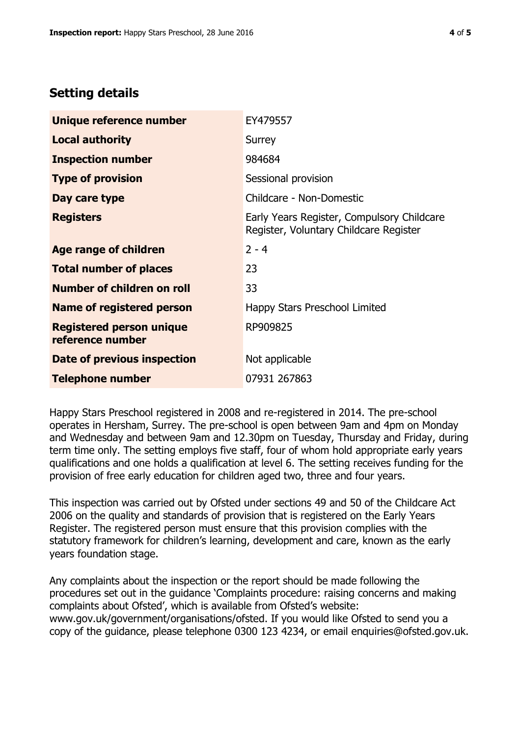## **Setting details**

| Unique reference number                             | EY479557                                                                             |  |
|-----------------------------------------------------|--------------------------------------------------------------------------------------|--|
| <b>Local authority</b>                              | Surrey                                                                               |  |
| <b>Inspection number</b>                            | 984684                                                                               |  |
| <b>Type of provision</b>                            | Sessional provision                                                                  |  |
| Day care type                                       | Childcare - Non-Domestic                                                             |  |
| <b>Registers</b>                                    | Early Years Register, Compulsory Childcare<br>Register, Voluntary Childcare Register |  |
| Age range of children                               | $2 - 4$                                                                              |  |
| <b>Total number of places</b>                       | 23                                                                                   |  |
| Number of children on roll                          | 33                                                                                   |  |
| Name of registered person                           | Happy Stars Preschool Limited                                                        |  |
| <b>Registered person unique</b><br>reference number | RP909825                                                                             |  |
| Date of previous inspection                         | Not applicable                                                                       |  |
| <b>Telephone number</b>                             | 07931 267863                                                                         |  |

Happy Stars Preschool registered in 2008 and re-registered in 2014. The pre-school operates in Hersham, Surrey. The pre-school is open between 9am and 4pm on Monday and Wednesday and between 9am and 12.30pm on Tuesday, Thursday and Friday, during term time only. The setting employs five staff, four of whom hold appropriate early years qualifications and one holds a qualification at level 6. The setting receives funding for the provision of free early education for children aged two, three and four years.

This inspection was carried out by Ofsted under sections 49 and 50 of the Childcare Act 2006 on the quality and standards of provision that is registered on the Early Years Register. The registered person must ensure that this provision complies with the statutory framework for children's learning, development and care, known as the early years foundation stage.

Any complaints about the inspection or the report should be made following the procedures set out in the guidance 'Complaints procedure: raising concerns and making complaints about Ofsted', which is available from Ofsted's website: www.gov.uk/government/organisations/ofsted. If you would like Ofsted to send you a copy of the guidance, please telephone 0300 123 4234, or email enquiries@ofsted.gov.uk.